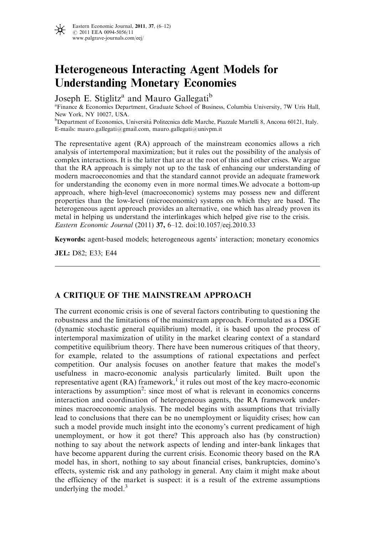

# Heterogeneous Interacting Agent Models for Understanding Monetary Economies

Joseph E. Stiglitz<sup>a</sup> and Mauro Gallegati<sup>b</sup>

a Finance & Economics Department, Graduate School of Business, Columbia University, 7W Uris Hall, New York, NY 10027, USA.

<sup>b</sup>Department of Economics, Università Politecnica delle Marche, Piazzale Martelli 8, Ancona 60121, Italy. E-mails: mauro.gallegati@gmail.com, mauro.gallegati@univpm.it

The representative agent (RA) approach of the mainstream economics allows a rich analysis of intertemporal maximization; but it rules out the possibility of the analysis of complex interactions. It is the latter that are at the root of this and other crises. We argue that the RA approach is simply not up to the task of enhancing our understanding of modern macroeconomies and that the standard cannot provide an adequate framework for understanding the economy even in more normal times.We advocate a bottom-up approach, where high-level (macroeconomic) systems may possess new and different properties than the low-level (microeconomic) systems on which they are based. The heterogeneous agent approach provides an alternative, one which has already proven its metal in helping us understand the interlinkages which helped give rise to the crisis. Eastern Economic Journal (2011) 37, 6–12. doi:10.1057/eej.2010.33

Keywords: agent-based models; heterogeneous agents' interaction; monetary economics

JEL: D82; E33; E44

## A CRITIQUE OF THE MAINSTREAM APPROACH

The current economic crisis is one of several factors contributing to questioning the robustness and the limitations of the mainstream approach. Formulated as a DSGE (dynamic stochastic general equilibrium) model, it is based upon the process of intertemporal maximization of utility in the market clearing context of a standard competitive equilibrium theory. There have been numerous critiques of that theory, for example, related to the assumptions of rational expectations and perfect competition. Our analysis focuses on another feature that makes the model's usefulness in macro-economic analysis particularly limited. Built upon the representative agent  $(RA)$  framework,<sup>1</sup> it rules out most of the key macro-economic interactions by assumption<sup>2</sup>: since most of what is relevant in economics concerns interaction and coordination of heterogeneous agents, the RA framework undermines macroeconomic analysis. The model begins with assumptions that trivially lead to conclusions that there can be no unemployment or liquidity crises; how can such a model provide much insight into the economy's current predicament of high unemployment, or how it got there? This approach also has (by construction) nothing to say about the network aspects of lending and inter-bank linkages that have become apparent during the current crisis. Economic theory based on the RA model has, in short, nothing to say about financial crises, bankruptcies, domino's effects, systemic risk and any pathology in general. Any claim it might make about the efficiency of the market is suspect: it is a result of the extreme assumptions underlying the model. $3$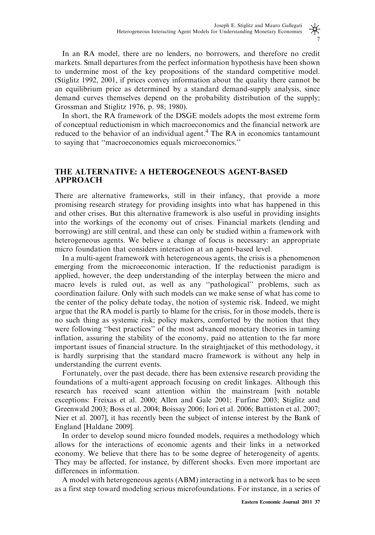## 米 7

In an RA model, there are no lenders, no borrowers, and therefore no credit markets. Small departures from the perfect information hypothesis have been shown to undermine most of the key propositions of the standard competitive model. (Stiglitz 1992, 2001, if prices convey information about the quality there cannot be an equilibrium price as determined by a standard demand-supply analysis, since demand curves themselves depend on the probability distribution of the supply; Grossman and Stiglitz 1976, p. 98; 1980).

In short, the RA framework of the DSGE models adopts the most extreme form of conceptual reductionism in which macroeconomics and the financial network are reduced to the behavior of an individual agent.<sup>4</sup> The RA in economics tantamount to saying that ''macroeconomics equals microeconomics.''

## THE ALTERNATIVE: A HETEROGENEOUS AGENT-BASED APPROACH

There are alternative frameworks, still in their infancy, that provide a more promising research strategy for providing insights into what has happened in this and other crises. But this alternative framework is also useful in providing insights into the workings of the economy out of crises. Financial markets (lending and borrowing) are still central, and these can only be studied within a framework with heterogeneous agents. We believe a change of focus is necessary: an appropriate micro foundation that considers interaction at an agent-based level.

In a multi-agent framework with heterogeneous agents, the crisis is a phenomenon emerging from the microeconomic interaction. If the reductionist paradigm is applied, however, the deep understanding of the interplay between the micro and macro levels is ruled out, as well as any ''pathological'' problems, such as coordination failure. Only with such models can we make sense of what has come to the center of the policy debate today, the notion of systemic risk. Indeed, we might argue that the RA model is partly to blame for the crisis, for in those models, there is no such thing as systemic risk; policy makers, comforted by the notion that they were following ''best practices'' of the most advanced monetary theories in taming inflation, assuring the stability of the economy, paid no attention to the far more important issues of financial structure. In the straightjacket of this methodology, it is hardly surprising that the standard macro framework is without any help in understanding the current events.

Fortunately, over the past decade, there has been extensive research providing the foundations of a multi-agent approach focusing on credit linkages. Although this research has received scant attention within the mainstream [with notable exceptions: Freixas et al. 2000; Allen and Gale 2001; Furfine 2003; Stiglitz and Greenwald 2003; Boss et al. 2004; Boissay 2006; Iori et al. 2006; Battiston et al. 2007; Nier et al. 2007], it has recently been the subject of intense interest by the Bank of England [Haldane 2009].

In order to develop sound micro founded models, requires a methodology which allows for the interactions of economic agents and their links in a networked economy. We believe that there has to be some degree of heterogeneity of agents. They may be affected, for instance, by different shocks. Even more important are differences in information.

A model with heterogeneous agents (ABM) interacting in a network has to be seen as a first step toward modeling serious microfoundations. For instance, in a series of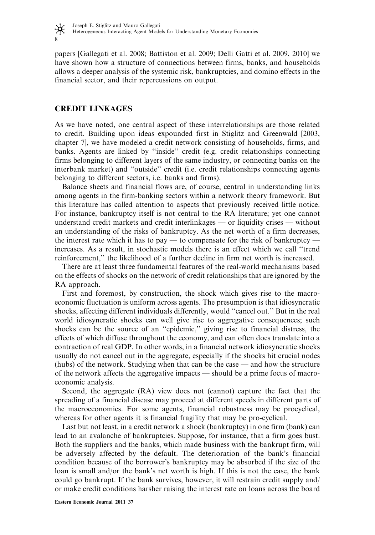

papers [Gallegati et al. 2008; Battiston et al. 2009; Delli Gatti et al. 2009, 2010] we have shown how a structure of connections between firms, banks, and households allows a deeper analysis of the systemic risk, bankruptcies, and domino effects in the financial sector, and their repercussions on output.

### CREDIT LINKAGES

As we have noted, one central aspect of these interrelationships are those related to credit. Building upon ideas expounded first in Stiglitz and Greenwald [2003, chapter 7], we have modeled a credit network consisting of households, firms, and banks. Agents are linked by ''inside'' credit (e.g. credit relationships connecting firms belonging to different layers of the same industry, or connecting banks on the interbank market) and ''outside'' credit (i.e. credit relationships connecting agents belonging to different sectors, i.e. banks and firms).

Balance sheets and financial flows are, of course, central in understanding links among agents in the firm-banking sectors within a network theory framework. But this literature has called attention to aspects that previously received little notice. For instance, bankruptcy itself is not central to the RA literature; yet one cannot understand credit markets and credit interlinkages — or liquidity crises — without an understanding of the risks of bankruptcy. As the net worth of a firm decreases, the interest rate which it has to pay — to compensate for the risk of bankruptcy increases. As a result, in stochastic models there is an effect which we call ''trend reinforcement,'' the likelihood of a further decline in firm net worth is increased.

There are at least three fundamental features of the real-world mechanisms based on the effects of shocks on the network of credit relationships that are ignored by the RA approach.

First and foremost, by construction, the shock which gives rise to the macroeconomic fluctuation is uniform across agents. The presumption is that idiosyncratic shocks, affecting different individuals differently, would ''cancel out.'' But in the real world idiosyncratic shocks can well give rise to aggregative consequences; such shocks can be the source of an ''epidemic,'' giving rise to financial distress, the effects of which diffuse throughout the economy, and can often does translate into a contraction of real GDP. In other words, in a financial network idiosyncratic shocks usually do not cancel out in the aggregate, especially if the shocks hit crucial nodes (hubs) of the network. Studying when that can be the case — and how the structure of the network affects the aggregative impacts — should be a prime focus of macroeconomic analysis.

Second, the aggregate (RA) view does not (cannot) capture the fact that the spreading of a financial disease may proceed at different speeds in different parts of the macroeconomics. For some agents, financial robustness may be procyclical, whereas for other agents it is financial fragility that may be pro-cyclical.

Last but not least, in a credit network a shock (bankruptcy) in one firm (bank) can lead to an avalanche of bankruptcies. Suppose, for instance, that a firm goes bust. Both the suppliers and the banks, which made business with the bankrupt firm, will be adversely affected by the default. The deterioration of the bank's financial condition because of the borrower's bankruptcy may be absorbed if the size of the loan is small and/or the bank's net worth is high. If this is not the case, the bank could go bankrupt. If the bank survives, however, it will restrain credit supply and/ or make credit conditions harsher raising the interest rate on loans across the board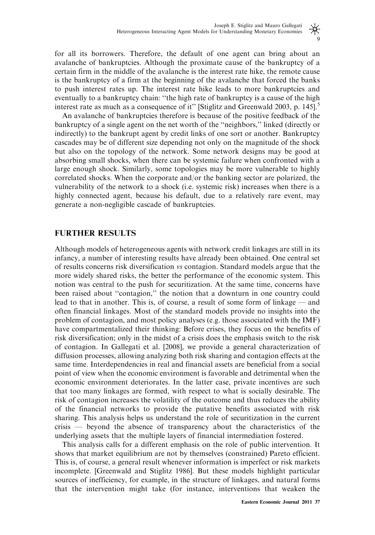for all its borrowers. Therefore, the default of one agent can bring about an avalanche of bankruptcies. Although the proximate cause of the bankruptcy of a certain firm in the middle of the avalanche is the interest rate hike, the remote cause is the bankruptcy of a firm at the beginning of the avalanche that forced the banks to push interest rates up. The interest rate hike leads to more bankruptcies and eventually to a bankruptcy chain: ''the high rate of bankruptcy is a cause of the high interest rate as much as a consequence of it" [Stiglitz and Greenwald 2003, p. 145].<sup>5</sup>

An avalanche of bankruptcies therefore is because of the positive feedback of the bankruptcy of a single agent on the net worth of the ''neighbors,'' linked (directly or indirectly) to the bankrupt agent by credit links of one sort or another. Bankruptcy cascades may be of different size depending not only on the magnitude of the shock but also on the topology of the network. Some network designs may be good at absorbing small shocks, when there can be systemic failure when confronted with a large enough shock. Similarly, some topologies may be more vulnerable to highly correlated shocks. When the corporate and/or the banking sector are polarized, the vulnerability of the network to a shock (i.e. systemic risk) increases when there is a highly connected agent, because his default, due to a relatively rare event, may generate a non-negligible cascade of bankruptcies.

## FURTHER RESULTS

Although models of heterogeneous agents with network credit linkages are still in its infancy, a number of interesting results have already been obtained. One central set of results concerns risk diversification vs contagion. Standard models argue that the more widely shared risks, the better the performance of the economic system. This notion was central to the push for securitization. At the same time, concerns have been raised about ''contagion,'' the notion that a downturn in one country could lead to that in another. This is, of course, a result of some form of linkage — and often financial linkages. Most of the standard models provide no insights into the problem of contagion, and most policy analyses (e.g. those associated with the IMF) have compartmentalized their thinking: Before crises, they focus on the benefits of risk diversification; only in the midst of a crisis does the emphasis switch to the risk of contagion. In Gallegati et al. [2008], we provide a general characterization of diffusion processes, allowing analyzing both risk sharing and contagion effects at the same time. Interdependencies in real and financial assets are beneficial from a social point of view when the economic environment is favorable and detrimental when the economic environment deteriorates. In the latter case, private incentives are such that too many linkages are formed, with respect to what is socially desirable. The risk of contagion increases the volatility of the outcome and thus reduces the ability of the financial networks to provide the putative benefits associated with risk sharing. This analysis helps us understand the role of securitization in the current crisis — beyond the absence of transparency about the characteristics of the underlying assets that the multiple layers of financial intermediation fostered.

This analysis calls for a different emphasis on the role of public intervention. It shows that market equilibrium are not by themselves (constrained) Pareto efficient. This is, of course, a general result whenever information is imperfect or risk markets incomplete. [Greenwald and Stiglitz 1986]. But these models highlight particular sources of inefficiency, for example, in the structure of linkages, and natural forms that the intervention might take (for instance, interventions that weaken the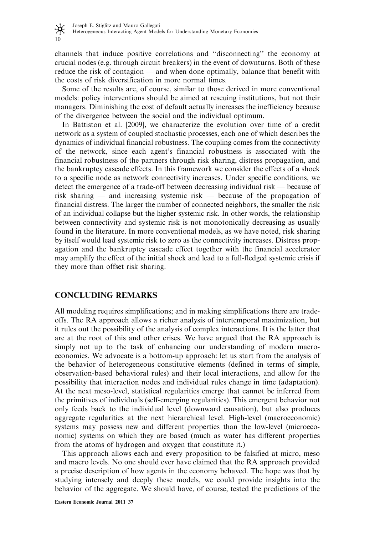

channels that induce positive correlations and ''disconnecting'' the economy at crucial nodes (e.g. through circuit breakers) in the event of downturns. Both of these reduce the risk of contagion — and when done optimally, balance that benefit with the costs of risk diversification in more normal times.

Some of the results are, of course, similar to those derived in more conventional models: policy interventions should be aimed at rescuing institutions, but not their managers. Diminishing the cost of default actually increases the inefficiency because of the divergence between the social and the individual optimum.

In Battiston et al. [2009], we characterize the evolution over time of a credit network as a system of coupled stochastic processes, each one of which describes the dynamics of individual financial robustness. The coupling comes from the connectivity of the network, since each agent's financial robustness is associated with the financial robustness of the partners through risk sharing, distress propagation, and the bankruptcy cascade effects. In this framework we consider the effects of a shock to a specific node as network connectivity increases. Under specific conditions, we detect the emergence of a trade-off between decreasing individual risk — because of risk sharing — and increasing systemic risk — because of the propagation of financial distress. The larger the number of connected neighbors, the smaller the risk of an individual collapse but the higher systemic risk. In other words, the relationship between connectivity and systemic risk is not monotonically decreasing as usually found in the literature. In more conventional models, as we have noted, risk sharing by itself would lead systemic risk to zero as the connectivity increases. Distress propagation and the bankruptcy cascade effect together with the financial accelerator may amplify the effect of the initial shock and lead to a full-fledged systemic crisis if they more than offset risk sharing.

#### CONCLUDING REMARKS

All modeling requires simplifications; and in making simplifications there are tradeoffs. The RA approach allows a richer analysis of intertemporal maximization, but it rules out the possibility of the analysis of complex interactions. It is the latter that are at the root of this and other crises. We have argued that the RA approach is simply not up to the task of enhancing our understanding of modern macroeconomies. We advocate is a bottom-up approach: let us start from the analysis of the behavior of heterogeneous constitutive elements (defined in terms of simple, observation-based behavioral rules) and their local interactions, and allow for the possibility that interaction nodes and individual rules change in time (adaptation). At the next meso-level, statistical regularities emerge that cannot be inferred from the primitives of individuals (self-emerging regularities). This emergent behavior not only feeds back to the individual level (downward causation), but also produces aggregate regularities at the next hierarchical level. High-level (macroeconomic) systems may possess new and different properties than the low-level (microeconomic) systems on which they are based (much as water has different properties from the atoms of hydrogen and oxygen that constitute it.)

This approach allows each and every proposition to be falsified at micro, meso and macro levels. No one should ever have claimed that the RA approach provided a precise description of how agents in the economy behaved. The hope was that by studying intensely and deeply these models, we could provide insights into the behavior of the aggregate. We should have, of course, tested the predictions of the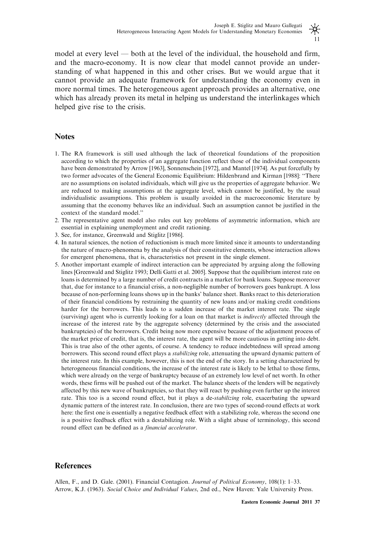model at every level — both at the level of the individual, the household and firm, and the macro-economy. It is now clear that model cannot provide an understanding of what happened in this and other crises. But we would argue that it cannot provide an adequate framework for understanding the economy even in more normal times. The heterogeneous agent approach provides an alternative, one which has already proven its metal in helping us understand the interlinkages which helped give rise to the crisis.

#### **Notes**

- 1. The RA framework is still used although the lack of theoretical foundations of the proposition according to which the properties of an aggregate function reflect those of the individual components have been demonstrated by Arrow [1963], Sonnenschein [1972], and Mantel [1974]. As put forcefully by two former advocates of the General Economic Equilibrium: Hildenbrand and Kirman [1988]: ''There are no assumptions on isolated individuals, which will give us the properties of aggregate behavior. We are reduced to making assumptions at the aggregate level, which cannot be justified, by the usual individualistic assumptions. This problem is usually avoided in the macroeconomic literature by assuming that the economy behaves like an individual. Such an assumption cannot be justified in the context of the standard model.''
- 2. The representative agent model also rules out key problems of asymmetric information, which are essential in explaining unemployment and credit rationing.
- 3. See, for instance, Greenwald and Stiglitz [1986].
- 4. In natural sciences, the notion of reductionism is much more limited since it amounts to understanding the nature of macro-phenomena by the analysis of their constitutive elements, whose interaction allows for emergent phenomena, that is, characteristics not present in the single element.
- 5. Another important example of indirect interaction can be appreciated by arguing along the following lines [Greenwald and Stiglitz 1993; Delli Gatti et al. 2005]. Suppose that the equilibrium interest rate on loans is determined by a large number of credit contracts in a market for bank loans. Suppose moreover that, due for instance to a financial crisis, a non-negligible number of borrowers goes bankrupt. A loss because of non-performing loans shows up in the banks' balance sheet. Banks react to this deterioration of their financial conditions by restraining the quantity of new loans and/or making credit conditions harder for the borrowers. This leads to a sudden increase of the market interest rate. The single (surviving) agent who is currently looking for a loan on that market is *indirectly* affected through the increase of the interest rate by the aggregate solvency (determined by the crisis and the associated bankruptcies) of the borrowers. Credit being now more expensive because of the adjustment process of the market price of credit, that is, the interest rate, the agent will be more cautious in getting into debt. This is true also of the other agents, of course. A tendency to reduce indebtedness will spread among borrowers. This second round effect plays a *stabilizing* role, attenuating the upward dynamic pattern of the interest rate. In this example, however, this is not the end of the story. In a setting characterized by heterogeneous financial conditions, the increase of the interest rate is likely to be lethal to those firms, which were already on the verge of bankruptcy because of an extremely low level of net worth. In other words, these firms will be pushed out of the market. The balance sheets of the lenders will be negatively affected by this new wave of bankruptcies, so that they will react by pushing even further up the interest rate. This too is a second round effect, but it plays a de-stabilizing role, exacerbating the upward dynamic pattern of the interest rate. In conclusion, there are two types of second-round effects at work here: the first one is essentially a negative feedback effect with a stabilizing role, whereas the second one is a positive feedback effect with a destabilizing role. With a slight abuse of terminology, this second round effect can be defined as a financial accelerator.

#### **References**

Allen, F., and D. Gale. (2001). Financial Contagion. Journal of Political Economy, 108(1): 1–33. Arrow, K.J. (1963). Social Choice and Individual Values, 2nd ed., New Haven: Yale University Press.